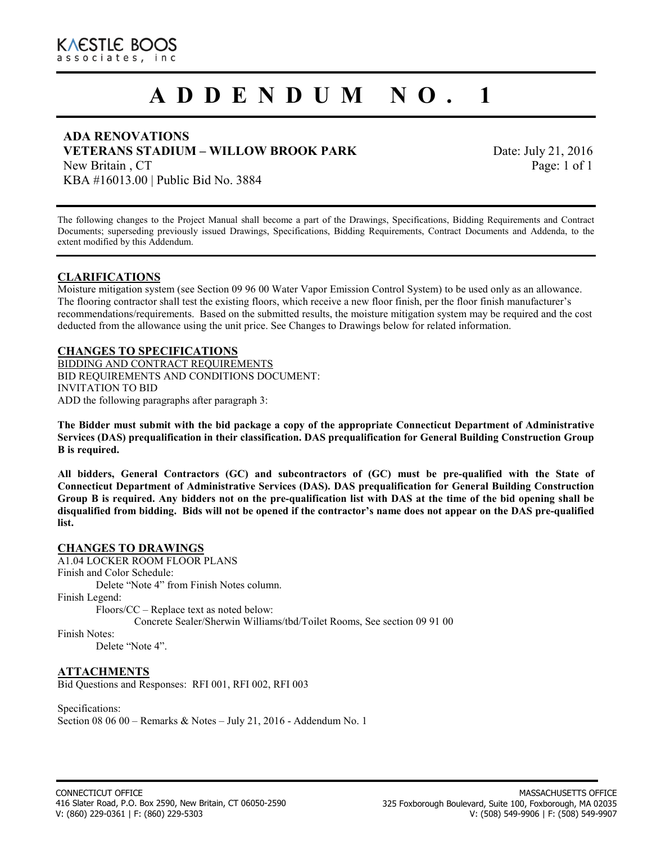# **A D D E N D U M N O . 1**

#### **ADA RENOVATIONS VETERANS STADIUM – WILLOW BROOK PARK**

Date: July 21, 2016 Page: 1 of 1

New Britain , CT KBA #16013.00 | Public Bid No. 3884

The following changes to the Project Manual shall become a part of the Drawings, Specifications, Bidding Requirements and Contract Documents; superseding previously issued Drawings, Specifications, Bidding Requirements, Contract Documents and Addenda, to the extent modified by this Addendum.

#### **CLARIFICATIONS**

Moisture mitigation system (see Section 09 96 00 Water Vapor Emission Control System) to be used only as an allowance. The flooring contractor shall test the existing floors, which receive a new floor finish, per the floor finish manufacturer's recommendations/requirements. Based on the submitted results, the moisture mitigation system may be required and the cost deducted from the allowance using the unit price. See Changes to Drawings below for related information.

#### **CHANGES TO SPECIFICATIONS**

BIDDING AND CONTRACT REQUIREMENTS BID REQUIREMENTS AND CONDITIONS DOCUMENT: INVITATION TO BID ADD the following paragraphs after paragraph 3:

**The Bidder must submit with the bid package a copy of the appropriate Connecticut Department of Administrative Services (DAS) prequalification in their classification. DAS prequalification for General Building Construction Group B is required.** 

**All bidders, General Contractors (GC) and subcontractors of (GC) must be pre-qualified with the State of Connecticut Department of Administrative Services (DAS). DAS prequalification for General Building Construction Group B is required. Any bidders not on the pre-qualification list with DAS at the time of the bid opening shall be disqualified from bidding. Bids will not be opened if the contractor's name does not appear on the DAS pre-qualified list.** 

#### **CHANGES TO DRAWINGS**

A1.04 LOCKER ROOM FLOOR PLANS

Finish and Color Schedule:

Delete "Note 4" from Finish Notes column.

Finish Legend:

Floors/CC – Replace text as noted below:

Concrete Sealer/Sherwin Williams/tbd/Toilet Rooms, See section 09 91 00

Finish Notes:

Delete "Note 4".

#### **ATTACHMENTS**  Bid Questions and Responses: RFI 001, RFI 002, RFI 003

Specifications: Section 08 06 00 – Remarks & Notes – July 21, 2016 - Addendum No. 1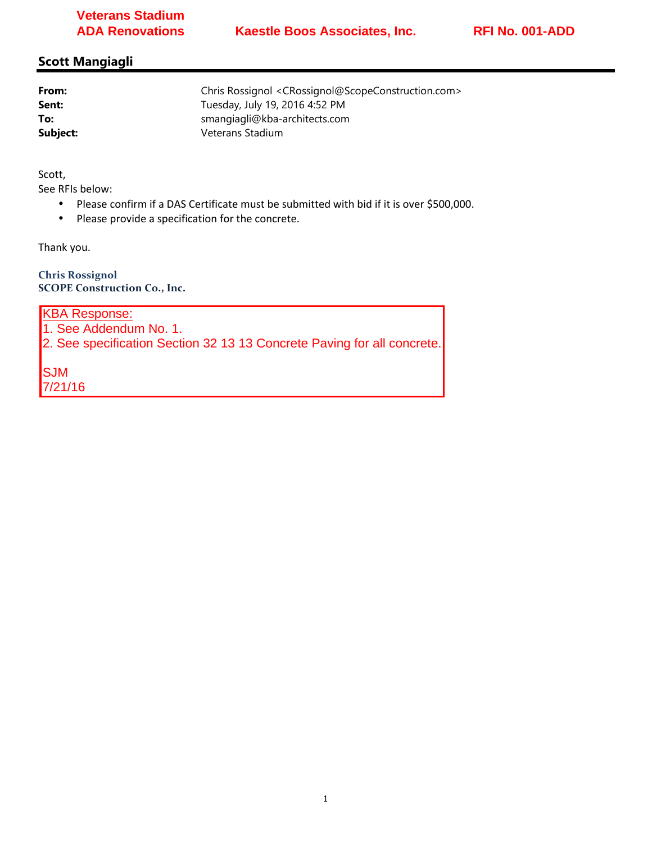# **Veterans Stadium ADA Renovations**

# **Scott Mangiagli**

| From:    | Chris Rossignol <crossignol@scopeconstruction.com></crossignol@scopeconstruction.com> |  |
|----------|---------------------------------------------------------------------------------------|--|
| Sent:    | Tuesday, July 19, 2016 4:52 PM                                                        |  |
| To:      | smangiagli@kba-architects.com                                                         |  |
| Subject: | Veterans Stadium                                                                      |  |
|          |                                                                                       |  |

Scott,

See RFIs below:

- Please confirm if a DAS Certificate must be submitted with bid if it is over \$500,000.
- Please provide a specification for the concrete.

Thank you.

**Chris Rossignol SCOPE Construction Co., Inc.** 

KBA Response:

1. See Addendum No. 1.

2. See specification Section 32 13 13 Concrete Paving for all concrete.

SJM 7/21/16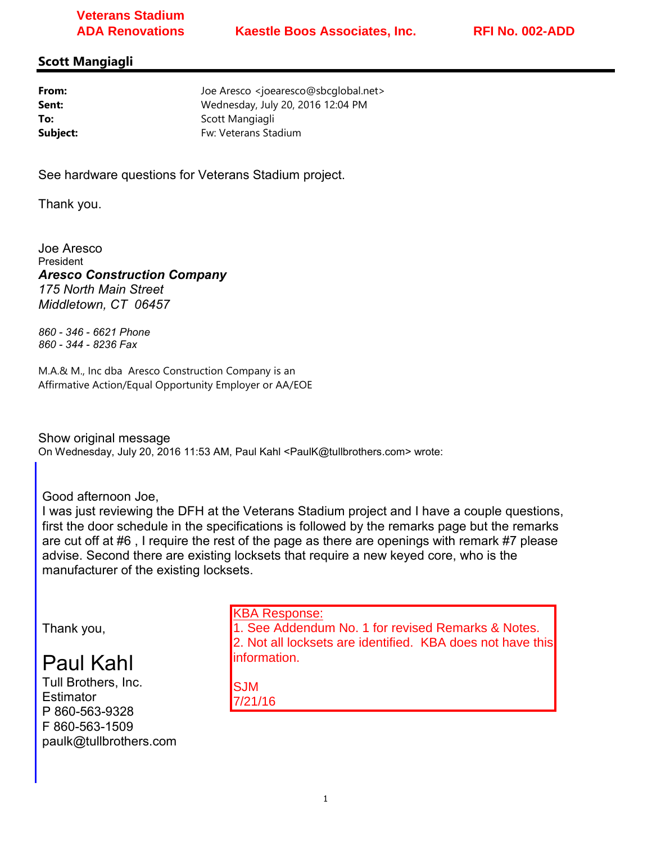# **Veterans Stadium ADA Renovations**

### **Scott Mangiagli**

| From:    | Joe Aresco <joearesco@sbcqlobal.net></joearesco@sbcqlobal.net> |
|----------|----------------------------------------------------------------|
| Sent:    | Wednesday, July 20, 2016 12:04 PM                              |
| To:      | Scott Mangiagli                                                |
| Subject: | Fw: Veterans Stadium                                           |

See hardware questions for Veterans Stadium project.

Thank you.

Joe Aresco President *Aresco Construction Company 175 North Main Street Middletown, CT 06457*

*860 - 346 - 6621 Phone 860 - 344 - 8236 Fax*

M.A.& M., Inc dba Aresco Construction Company is an Affirmative Action/Equal Opportunity Employer or AA/EOE

Show original message On Wednesday, July 20, 2016 11:53 AM, Paul Kahl <PaulK@tullbrothers.com> wrote:

Good afternoon Joe,

I was just reviewing the DFH at the Veterans Stadium project and I have a couple questions, first the door schedule in the specifications is followed by the remarks page but the remarks are cut off at #6 , I require the rest of the page as there are openings with remark #7 please advise. Second there are existing locksets that require a new keyed core, who is the manufacturer of the existing locksets.

Thank you,

# Paul Kahl

Tull Brothers, Inc. **Estimator** P 860-563-9328 F 860-563-1509 paulk@tullbrothers.com KBA Response:

1. See Addendum No. 1 for revised Remarks & Notes. 2. Not all locksets are identified. KBA does not have this information.

SJM 7/21/16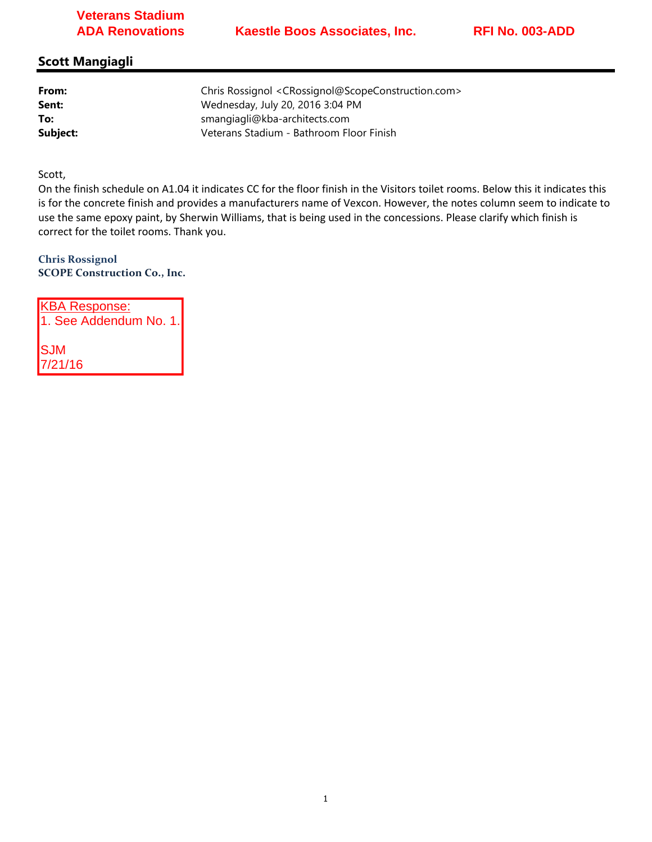# **Veterans Stadium ADA Renovations**

# **Scott Mangiagli**

| From:    | Chris Rossignol <crossignol@scopeconstruction.com></crossignol@scopeconstruction.com> |
|----------|---------------------------------------------------------------------------------------|
| Sent:    | Wednesday, July 20, 2016 3:04 PM                                                      |
| To:      | smangiagli@kba-architects.com                                                         |
| Subject: | Veterans Stadium - Bathroom Floor Finish                                              |

Scott,

7/21/16

On the finish schedule on A1.04 it indicates CC for the floor finish in the Visitors toilet rooms. Below this it indicates this is for the concrete finish and provides a manufacturers name of Vexcon. However, the notes column seem to indicate to use the same epoxy paint, by Sherwin Williams, that is being used in the concessions. Please clarify which finish is correct for the toilet rooms. Thank you.

**Chris Rossignol SCOPE Construction Co., Inc.** 

KBA Response: 1. See Addendum No. 1. SJM